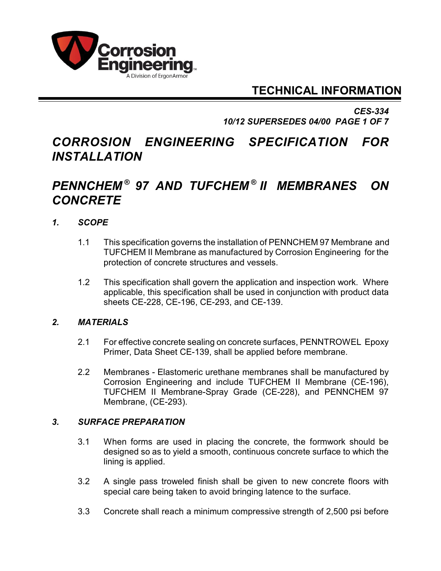

## **TECHNICAL INFORMATION**

*CES-334 10/12 SUPERSEDES 04/00 PAGE 1 OF 7*

# *CORROSION ENGINEERING SPECIFICATION FOR INSTALLATION*

## *PENNCHEM 97 AND TUFCHEM II MEMBRANES ON ® ® CONCRETE*

## *1. SCOPE*

- 1.1 This specification governs the installation of PENNCHEM 97 Membrane and TUFCHEM II Membrane as manufactured by Corrosion Engineering for the protection of concrete structures and vessels.
- 1.2 This specification shall govern the application and inspection work. Where applicable, this specification shall be used in conjunction with product data sheets CE-228, CE-196, CE-293, and CE-139.

## *2. MATERIALS*

- 2.1 For effective concrete sealing on concrete surfaces, PENNTROWEL Epoxy Primer, Data Sheet CE-139, shall be applied before membrane.
- 2.2 Membranes Elastomeric urethane membranes shall be manufactured by Corrosion Engineering and include TUFCHEM II Membrane (CE-196), TUFCHEM II Membrane-Spray Grade (CE-228), and PENNCHEM 97 Membrane, (CE-293).

## *3. SURFACE PREPARATION*

- 3.1 When forms are used in placing the concrete, the formwork should be designed so as to yield a smooth, continuous concrete surface to which the lining is applied.
- 3.2 A single pass troweled finish shall be given to new concrete floors with special care being taken to avoid bringing latence to the surface.
- 3.3 Concrete shall reach a minimum compressive strength of 2,500 psi before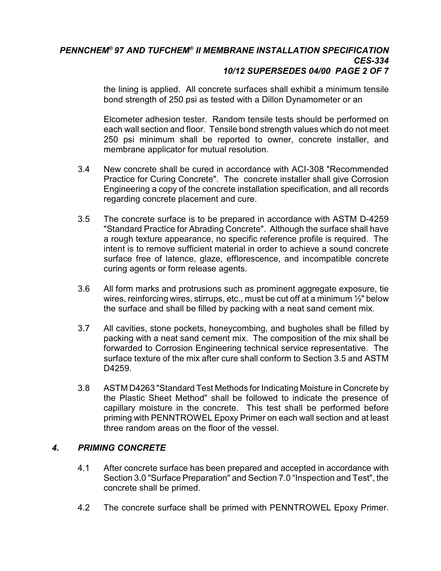#### *PENNCHEM®* 97 AND TUFCHEM® II MEMBRANE INSTALLATION SPECIFICATION *CES-334 10/12 SUPERSEDES 04/00 PAGE 2 OF 7*

the lining is applied. All concrete surfaces shall exhibit a minimum tensile bond strength of 250 psi as tested with a Dillon Dynamometer or an

Elcometer adhesion tester. Random tensile tests should be performed on each wall section and floor. Tensile bond strength values which do not meet 250 psi minimum shall be reported to owner, concrete installer, and membrane applicator for mutual resolution.

- 3.4 New concrete shall be cured in accordance with ACI-308 "Recommended Practice for Curing Concrete". The concrete installer shall give Corrosion Engineering a copy of the concrete installation specification, and all records regarding concrete placement and cure.
- 3.5 The concrete surface is to be prepared in accordance with ASTM D-4259 "Standard Practice for Abrading Concrete". Although the surface shall have a rough texture appearance, no specific reference profile is required. The intent is to remove sufficient material in order to achieve a sound concrete surface free of latence, glaze, efflorescence, and incompatible concrete curing agents or form release agents.
- 3.6 All form marks and protrusions such as prominent aggregate exposure, tie wires, reinforcing wires, stirrups, etc., must be cut off at a minimum ½" below the surface and shall be filled by packing with a neat sand cement mix.
- 3.7 All cavities, stone pockets, honeycombing, and bugholes shall be filled by packing with a neat sand cement mix. The composition of the mix shall be forwarded to Corrosion Engineering technical service representative. The surface texture of the mix after cure shall conform to Section 3.5 and ASTM D4259.
- 3.8 ASTM D4263 "Standard Test Methods for Indicating Moisture in Concrete by the Plastic Sheet Method" shall be followed to indicate the presence of capillary moisture in the concrete. This test shall be performed before priming with PENNTROWEL Epoxy Primer on each wall section and at least three random areas on the floor of the vessel.

## *4. PRIMING CONCRETE*

- 4.1 After concrete surface has been prepared and accepted in accordance with Section 3.0 "Surface Preparation" and Section 7.0 "Inspection and Test", the concrete shall be primed.
- 4.2 The concrete surface shall be primed with PENNTROWEL Epoxy Primer.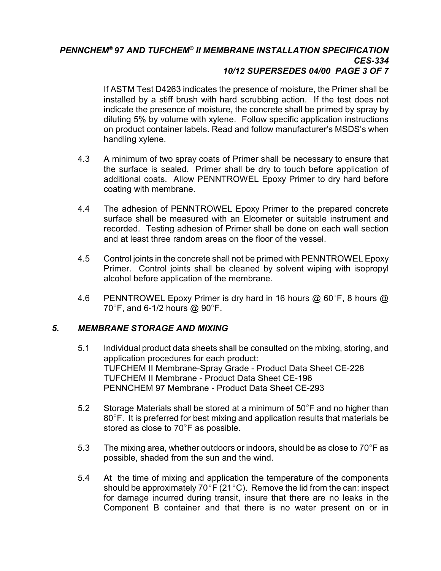#### *PENNCHEM®* 97 AND TUFCHEM® II MEMBRANE INSTALLATION SPECIFICATION *CES-334 10/12 SUPERSEDES 04/00 PAGE 3 OF 7*

If ASTM Test D4263 indicates the presence of moisture, the Primer shall be installed by a stiff brush with hard scrubbing action. If the test does not indicate the presence of moisture, the concrete shall be primed by spray by diluting 5% by volume with xylene. Follow specific application instructions on product container labels. Read and follow manufacturer's MSDS's when handling xylene.

- 4.3 A minimum of two spray coats of Primer shall be necessary to ensure that the surface is sealed. Primer shall be dry to touch before application of additional coats. Allow PENNTROWEL Epoxy Primer to dry hard before coating with membrane.
- 4.4 The adhesion of PENNTROWEL Epoxy Primer to the prepared concrete surface shall be measured with an Elcometer or suitable instrument and recorded. Testing adhesion of Primer shall be done on each wall section and at least three random areas on the floor of the vessel.
- 4.5 Control joints in the concrete shall not be primed with PENNTROWEL Epoxy Primer. Control joints shall be cleaned by solvent wiping with isopropyl alcohol before application of the membrane.
- 4.6 PENNTROWEL Epoxy Primer is dry hard in 16 hours  $@$  60°F, 8 hours  $@$  $70^\circ$ F, and 6-1/2 hours @ 90 $^\circ$ F.

## *5. MEMBRANE STORAGE AND MIXING*

- 5.1 Individual product data sheets shall be consulted on the mixing, storing, and application procedures for each product: TUFCHEM II Membrane-Spray Grade - Product Data Sheet CE-228 TUFCHEM II Membrane - Product Data Sheet CE-196 PENNCHEM 97 Membrane - Product Data Sheet CE-293
- 5.2 Storage Materials shall be stored at a minimum of  $50^{\circ}$ F and no higher than  $80^{\circ}$  F. It is preferred for best mixing and application results that materials be stored as close to  $70^{\circ}$ F as possible.
- 5.3 The mixing area, whether outdoors or indoors, should be as close to  $70^{\circ}$ F as possible, shaded from the sun and the wind.
- 5.4 At the time of mixing and application the temperature of the components should be approximately 70 $\degree$ F (21 $\degree$ C). Remove the lid from the can: inspect for damage incurred during transit, insure that there are no leaks in the Component B container and that there is no water present on or in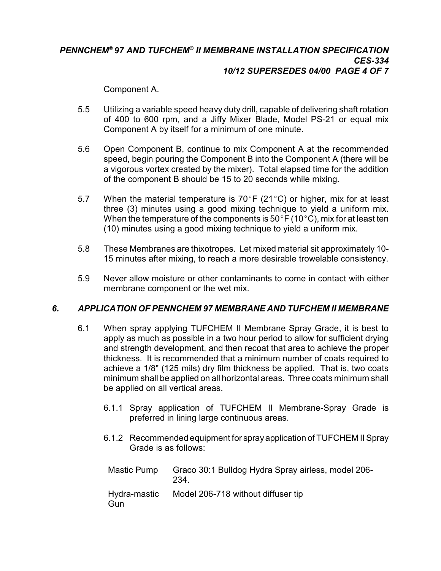#### *PENNCHEM®* 97 AND TUFCHEM® II MEMBRANE INSTALLATION SPECIFICATION *CES-334 10/12 SUPERSEDES 04/00 PAGE 4 OF 7*

Component A.

- 5.5 Utilizing a variable speed heavy duty drill, capable of delivering shaft rotation of 400 to 600 rpm, and a Jiffy Mixer Blade, Model PS-21 or equal mix Component A by itself for a minimum of one minute.
- 5.6 Open Component B, continue to mix Component A at the recommended speed, begin pouring the Component B into the Component A (there will be a vigorous vortex created by the mixer). Total elapsed time for the addition of the component B should be 15 to 20 seconds while mixing.
- 5.7 When the material temperature is  $70^{\circ}$ F (21 $^{\circ}$ C) or higher, mix for at least three (3) minutes using a good mixing technique to yield a uniform mix. When the temperature of the components is 50 $\degree$ F (10 $\degree$ C), mix for at least ten (10) minutes using a good mixing technique to yield a uniform mix.
- 5.8 These Membranes are thixotropes. Let mixed material sit approximately 10- 15 minutes after mixing, to reach a more desirable trowelable consistency.
- 5.9 Never allow moisture or other contaminants to come in contact with either membrane component or the wet mix.

## *6. APPLICATION OF PENNCHEM 97 MEMBRANE AND TUFCHEM II MEMBRANE*

- 6.1 When spray applying TUFCHEM II Membrane Spray Grade, it is best to apply as much as possible in a two hour period to allow for sufficient drying and strength development, and then recoat that area to achieve the proper thickness. It is recommended that a minimum number of coats required to achieve a 1/8" (125 mils) dry film thickness be applied. That is, two coats minimum shall be applied on all horizontal areas. Three coats minimum shall be applied on all vertical areas.
	- 6.1.1 Spray application of TUFCHEM II Membrane-Spray Grade is preferred in lining large continuous areas.
	- 6.1.2 Recommended equipment for sprayapplication of TUFCHEM II Spray Grade is as follows:

| Mastic Pump         | Graco 30:1 Bulldog Hydra Spray airless, model 206-<br>234. |
|---------------------|------------------------------------------------------------|
| Hydra-mastic<br>Gun | Model 206-718 without diffuser tip                         |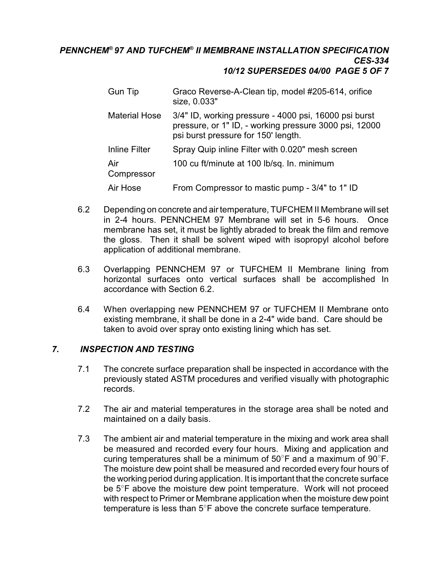#### *PENNCHEM®* 97 AND TUFCHEM® II MEMBRANE INSTALLATION SPECIFICATION *CES-334 10/12 SUPERSEDES 04/00 PAGE 5 OF 7*

| <b>Gun Tip</b>       | Graco Reverse-A-Clean tip, model #205-614, orifice<br>size, 0.033"                                                                                     |
|----------------------|--------------------------------------------------------------------------------------------------------------------------------------------------------|
| <b>Material Hose</b> | 3/4" ID, working pressure - 4000 psi, 16000 psi burst<br>pressure, or 1" ID, - working pressure 3000 psi, 12000<br>psi burst pressure for 150' length. |
| Inline Filter        | Spray Quip inline Filter with 0.020" mesh screen                                                                                                       |
| Air<br>Compressor    | 100 cu ft/minute at 100 lb/sq. In. minimum                                                                                                             |
| Air Hose             | From Compressor to mastic pump - 3/4" to 1" ID                                                                                                         |

- 6.2 Depending on concrete and air temperature, TUFCHEM II Membrane will set in 2-4 hours. PENNCHEM 97 Membrane will set in 5-6 hours. Once membrane has set, it must be lightly abraded to break the film and remove the gloss. Then it shall be solvent wiped with isopropyl alcohol before application of additional membrane.
- 6.3 Overlapping PENNCHEM 97 or TUFCHEM II Membrane lining from horizontal surfaces onto vertical surfaces shall be accomplished In accordance with Section 6.2.
- 6.4 When overlapping new PENNCHEM 97 or TUFCHEM II Membrane onto existing membrane, it shall be done in a 2-4" wide band. Care should be taken to avoid over spray onto existing lining which has set.

#### *7. INSPECTION AND TESTING*

- 7.1 The concrete surface preparation shall be inspected in accordance with the previously stated ASTM procedures and verified visually with photographic records.
- 7.2 The air and material temperatures in the storage area shall be noted and maintained on a daily basis.
- 7.3 The ambient air and material temperature in the mixing and work area shall be measured and recorded every four hours. Mixing and application and curing temperatures shall be a minimum of  $50^{\circ}$ F and a maximum of  $90^{\circ}$ F. The moisture dew point shall be measured and recorded every four hours of the working period during application. It is important that the concrete surface be  $5^\circ$ F above the moisture dew point temperature. Work will not proceed with respect to Primer or Membrane application when the moisture dew point temperature is less than  $5^\circ$ F above the concrete surface temperature.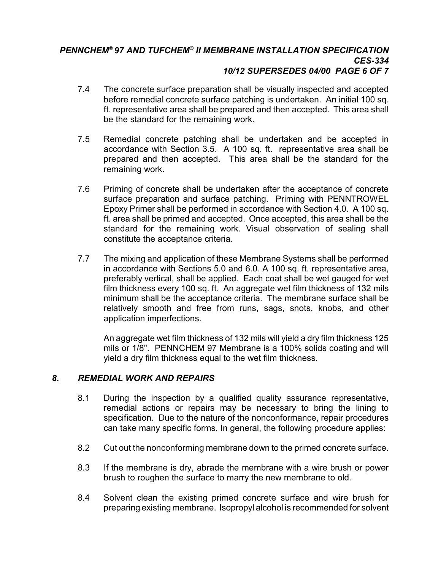#### *PENNCHEM®* 97 AND TUFCHEM® II MEMBRANE INSTALLATION SPECIFICATION *CES-334 10/12 SUPERSEDES 04/00 PAGE 6 OF 7*

- 7.4 The concrete surface preparation shall be visually inspected and accepted before remedial concrete surface patching is undertaken. An initial 100 sq. ft. representative area shall be prepared and then accepted. This area shall be the standard for the remaining work.
- 7.5 Remedial concrete patching shall be undertaken and be accepted in accordance with Section 3.5. A 100 sq. ft. representative area shall be prepared and then accepted. This area shall be the standard for the remaining work.
- 7.6 Priming of concrete shall be undertaken after the acceptance of concrete surface preparation and surface patching. Priming with PENNTROWEL Epoxy Primer shall be performed in accordance with Section 4.0. A 100 sq. ft. area shall be primed and accepted. Once accepted, this area shall be the standard for the remaining work. Visual observation of sealing shall constitute the acceptance criteria.
- 7.7 The mixing and application of these Membrane Systems shall be performed in accordance with Sections 5.0 and 6.0. A 100 sq. ft. representative area, preferably vertical, shall be applied. Each coat shall be wet gauged for wet film thickness every 100 sq. ft. An aggregate wet film thickness of 132 mils minimum shall be the acceptance criteria. The membrane surface shall be relatively smooth and free from runs, sags, snots, knobs, and other application imperfections.

An aggregate wet film thickness of 132 mils will yield a dry film thickness 125 mils or 1/8". PENNCHEM 97 Membrane is a 100% solids coating and will yield a dry film thickness equal to the wet film thickness.

## *8. REMEDIAL WORK AND REPAIRS*

- 8.1 During the inspection by a qualified quality assurance representative, remedial actions or repairs may be necessary to bring the lining to specification. Due to the nature of the nonconformance, repair procedures can take many specific forms. In general, the following procedure applies:
- 8.2 Cut out the nonconforming membrane down to the primed concrete surface.
- 8.3 If the membrane is dry, abrade the membrane with a wire brush or power brush to roughen the surface to marry the new membrane to old.
- 8.4 Solvent clean the existing primed concrete surface and wire brush for preparing existing membrane. Isopropyl alcohol is recommended for solvent